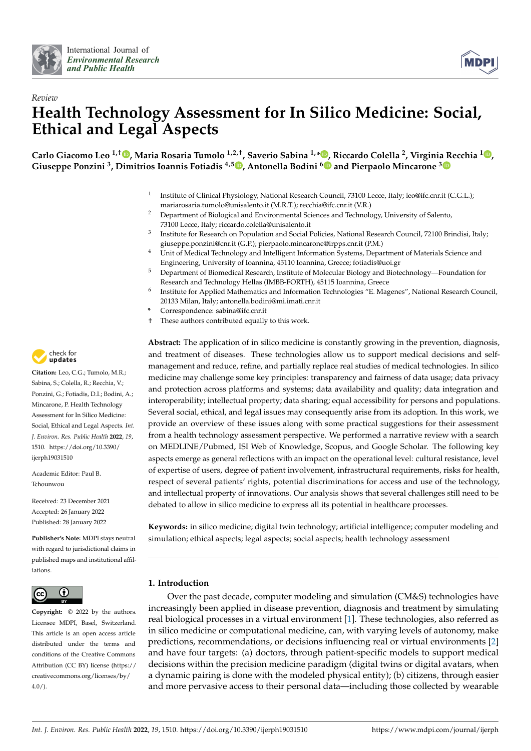



# *Review* **Health Technology Assessment for In Silico Medicine: Social, Ethical and Legal Aspects**

**Carlo Giacomo Leo 1,† [,](https://orcid.org/0000-0002-1357-4578) Maria Rosaria Tumolo 1,2,†, Saverio Sabina 1,[\\*](https://orcid.org/0000-0002-5337-2356) , Riccardo Colella <sup>2</sup> , Virginia Recchia <sup>1</sup> [,](https://orcid.org/0000-0003-1119-1829) Giuseppe Ponzini <sup>3</sup> , Dimitrios Ioannis Fotiadis 4,5 [,](https://orcid.org/0000-0002-7362-5082) Antonella Bodini [6](https://orcid.org/0000-0002-3419-3184) and Pierpaolo Mincarone [3](https://orcid.org/0000-0002-8452-5642)**

- 1 Institute of Clinical Physiology, National Research Council, 73100 Lecce, Italy; leo@ifc.cnr.it (C.G.L.); mariarosaria.tumolo@unisalento.it (M.R.T.); recchia@ifc.cnr.it (V.R.)
- <sup>2</sup> Department of Biological and Environmental Sciences and Technology, University of Salento, 73100 Lecce, Italy; riccardo.colella@unisalento.it
- 3 Institute for Research on Population and Social Policies, National Research Council, 72100 Brindisi, Italy; giuseppe.ponzini@cnr.it (G.P.); pierpaolo.mincarone@irpps.cnr.it (P.M.)
- <sup>4</sup> Unit of Medical Technology and Intelligent Information Systems, Department of Materials Science and Engineering, University of Ioannina, 45110 Ioannina, Greece; fotiadis@uoi.gr
- <sup>5</sup> Department of Biomedical Research, Institute of Molecular Biology and Biotechnology—Foundation for Research and Technology Hellas (IMBB-FORTH), 45115 Ioannina, Greece
- 6 Institute for Applied Mathematics and Information Technologies "E. Magenes", National Research Council, 20133 Milan, Italy; antonella.bodini@mi.imati.cnr.it
- **\*** Correspondence: sabina@ifc.cnr.it
- † These authors contributed equally to this work.

**Abstract:** The application of in silico medicine is constantly growing in the prevention, diagnosis, and treatment of diseases. These technologies allow us to support medical decisions and selfmanagement and reduce, refine, and partially replace real studies of medical technologies. In silico medicine may challenge some key principles: transparency and fairness of data usage; data privacy and protection across platforms and systems; data availability and quality; data integration and interoperability; intellectual property; data sharing; equal accessibility for persons and populations. Several social, ethical, and legal issues may consequently arise from its adoption. In this work, we provide an overview of these issues along with some practical suggestions for their assessment from a health technology assessment perspective. We performed a narrative review with a search on MEDLINE/Pubmed, ISI Web of Knowledge, Scopus, and Google Scholar. The following key aspects emerge as general reflections with an impact on the operational level: cultural resistance, level of expertise of users, degree of patient involvement, infrastructural requirements, risks for health, respect of several patients' rights, potential discriminations for access and use of the technology, and intellectual property of innovations. Our analysis shows that several challenges still need to be debated to allow in silico medicine to express all its potential in healthcare processes.

**Keywords:** in silico medicine; digital twin technology; artificial intelligence; computer modeling and simulation; ethical aspects; legal aspects; social aspects; health technology assessment

# **1. Introduction**

Over the past decade, computer modeling and simulation (CM&S) technologies have increasingly been applied in disease prevention, diagnosis and treatment by simulating real biological processes in a virtual environment [\[1\]](#page-10-0). These technologies, also referred as in silico medicine or computational medicine, can, with varying levels of autonomy, make predictions, recommendations, or decisions influencing real or virtual environments [\[2\]](#page-10-1) and have four targets: (a) doctors, through patient-specific models to support medical decisions within the precision medicine paradigm (digital twins or digital avatars, when a dynamic pairing is done with the modeled physical entity); (b) citizens, through easier and more pervasive access to their personal data—including those collected by wearable



**Citation:** Leo, C.G.; Tumolo, M.R.; Sabina, S.; Colella, R.; Recchia, V.; Ponzini, G.; Fotiadis, D.I.; Bodini, A.; Mincarone, P. Health Technology Assessment for In Silico Medicine: Social, Ethical and Legal Aspects. *Int. J. Environ. Res. Public Health* **2022**, *19*, 1510. [https://doi.org/10.3390/](https://doi.org/10.3390/ijerph19031510) [ijerph19031510](https://doi.org/10.3390/ijerph19031510)

Academic Editor: Paul B. Tchounwou

Received: 23 December 2021 Accepted: 26 January 2022 Published: 28 January 2022

**Publisher's Note:** MDPI stays neutral with regard to jurisdictional claims in published maps and institutional affiliations.



**Copyright:** © 2022 by the authors. Licensee MDPI, Basel, Switzerland. This article is an open access article distributed under the terms and conditions of the Creative Commons Attribution (CC BY) license [\(https://](https://creativecommons.org/licenses/by/4.0/) [creativecommons.org/licenses/by/](https://creativecommons.org/licenses/by/4.0/)  $4.0/$ ).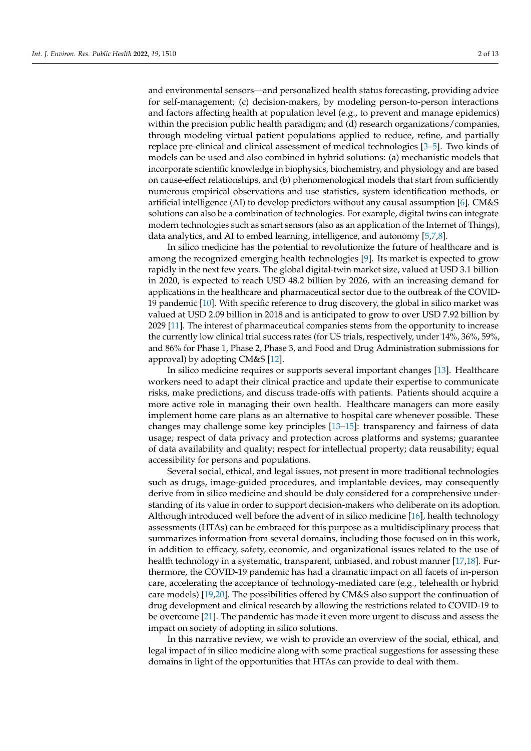and environmental sensors—and personalized health status forecasting, providing advice for self-management; (c) decision-makers, by modeling person-to-person interactions and factors affecting health at population level (e.g., to prevent and manage epidemics) within the precision public health paradigm; and (d) research organizations/companies, through modeling virtual patient populations applied to reduce, refine, and partially replace pre-clinical and clinical assessment of medical technologies [\[3](#page-10-2)[–5\]](#page-10-3). Two kinds of models can be used and also combined in hybrid solutions: (a) mechanistic models that incorporate scientific knowledge in biophysics, biochemistry, and physiology and are based on cause-effect relationships, and (b) phenomenological models that start from sufficiently numerous empirical observations and use statistics, system identification methods, or artificial intelligence (AI) to develop predictors without any causal assumption [\[6\]](#page-10-4). CM&S solutions can also be a combination of technologies. For example, digital twins can integrate modern technologies such as smart sensors (also as an application of the Internet of Things), data analytics, and AI to embed learning, intelligence, and autonomy [\[5](#page-10-3)[,7](#page-10-5)[,8\]](#page-10-6).

In silico medicine has the potential to revolutionize the future of healthcare and is among the recognized emerging health technologies [\[9\]](#page-10-7). Its market is expected to grow rapidly in the next few years. The global digital-twin market size, valued at USD 3.1 billion in 2020, is expected to reach USD 48.2 billion by 2026, with an increasing demand for applications in the healthcare and pharmaceutical sector due to the outbreak of the COVID-19 pandemic [\[10\]](#page-10-8). With specific reference to drug discovery, the global in silico market was valued at USD 2.09 billion in 2018 and is anticipated to grow to over USD 7.92 billion by 2029 [\[11\]](#page-10-9). The interest of pharmaceutical companies stems from the opportunity to increase the currently low clinical trial success rates (for US trials, respectively, under 14%, 36%, 59%, and 86% for Phase 1, Phase 2, Phase 3, and Food and Drug Administration submissions for approval) by adopting CM&S [\[12\]](#page-10-10).

In silico medicine requires or supports several important changes [\[13\]](#page-10-11). Healthcare workers need to adapt their clinical practice and update their expertise to communicate risks, make predictions, and discuss trade-offs with patients. Patients should acquire a more active role in managing their own health. Healthcare managers can more easily implement home care plans as an alternative to hospital care whenever possible. These changes may challenge some key principles [\[13](#page-10-11)[–15\]](#page-10-12): transparency and fairness of data usage; respect of data privacy and protection across platforms and systems; guarantee of data availability and quality; respect for intellectual property; data reusability; equal accessibility for persons and populations.

Several social, ethical, and legal issues, not present in more traditional technologies such as drugs, image-guided procedures, and implantable devices, may consequently derive from in silico medicine and should be duly considered for a comprehensive understanding of its value in order to support decision-makers who deliberate on its adoption. Although introduced well before the advent of in silico medicine [\[16\]](#page-10-13), health technology assessments (HTAs) can be embraced for this purpose as a multidisciplinary process that summarizes information from several domains, including those focused on in this work, in addition to efficacy, safety, economic, and organizational issues related to the use of health technology in a systematic, transparent, unbiased, and robust manner [\[17](#page-10-14)[,18\]](#page-10-15). Furthermore, the COVID-19 pandemic has had a dramatic impact on all facets of in-person care, accelerating the acceptance of technology-mediated care (e.g., telehealth or hybrid care models) [\[19,](#page-10-16)[20\]](#page-10-17). The possibilities offered by CM&S also support the continuation of drug development and clinical research by allowing the restrictions related to COVID-19 to be overcome [\[21\]](#page-10-18). The pandemic has made it even more urgent to discuss and assess the impact on society of adopting in silico solutions.

In this narrative review, we wish to provide an overview of the social, ethical, and legal impact of in silico medicine along with some practical suggestions for assessing these domains in light of the opportunities that HTAs can provide to deal with them.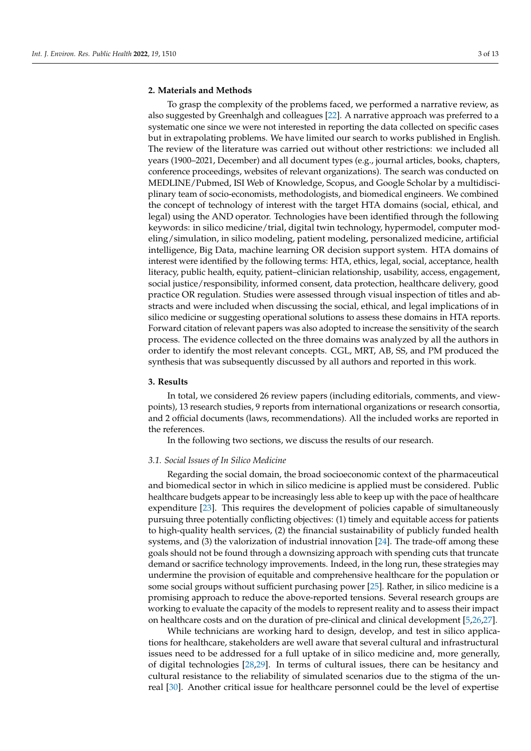## **2. Materials and Methods**

To grasp the complexity of the problems faced, we performed a narrative review, as also suggested by Greenhalgh and colleagues [\[22\]](#page-10-19). A narrative approach was preferred to a systematic one since we were not interested in reporting the data collected on specific cases but in extrapolating problems. We have limited our search to works published in English. The review of the literature was carried out without other restrictions: we included all years (1900–2021, December) and all document types (e.g., journal articles, books, chapters, conference proceedings, websites of relevant organizations). The search was conducted on MEDLINE/Pubmed, ISI Web of Knowledge, Scopus, and Google Scholar by a multidisciplinary team of socio-economists, methodologists, and biomedical engineers. We combined the concept of technology of interest with the target HTA domains (social, ethical, and legal) using the AND operator. Technologies have been identified through the following keywords: in silico medicine/trial, digital twin technology, hypermodel, computer modeling/simulation, in silico modeling, patient modeling, personalized medicine, artificial intelligence, Big Data, machine learning OR decision support system. HTA domains of interest were identified by the following terms: HTA, ethics, legal, social, acceptance, health literacy, public health, equity, patient–clinician relationship, usability, access, engagement, social justice/responsibility, informed consent, data protection, healthcare delivery, good practice OR regulation. Studies were assessed through visual inspection of titles and abstracts and were included when discussing the social, ethical, and legal implications of in silico medicine or suggesting operational solutions to assess these domains in HTA reports. Forward citation of relevant papers was also adopted to increase the sensitivity of the search process. The evidence collected on the three domains was analyzed by all the authors in order to identify the most relevant concepts. CGL, MRT, AB, SS, and PM produced the synthesis that was subsequently discussed by all authors and reported in this work.

#### <span id="page-2-0"></span>**3. Results**

In total, we considered 26 review papers (including editorials, comments, and viewpoints), 13 research studies, 9 reports from international organizations or research consortia, and 2 official documents (laws, recommendations). All the included works are reported in the references.

In the following two sections, we discuss the results of our research.

#### *3.1. Social Issues of In Silico Medicine*

Regarding the social domain, the broad socioeconomic context of the pharmaceutical and biomedical sector in which in silico medicine is applied must be considered. Public healthcare budgets appear to be increasingly less able to keep up with the pace of healthcare expenditure [\[23\]](#page-10-20). This requires the development of policies capable of simultaneously pursuing three potentially conflicting objectives: (1) timely and equitable access for patients to high-quality health services, (2) the financial sustainability of publicly funded health systems, and (3) the valorization of industrial innovation [\[24\]](#page-11-0). The trade-off among these goals should not be found through a downsizing approach with spending cuts that truncate demand or sacrifice technology improvements. Indeed, in the long run, these strategies may undermine the provision of equitable and comprehensive healthcare for the population or some social groups without sufficient purchasing power [\[25\]](#page-11-1). Rather, in silico medicine is a promising approach to reduce the above-reported tensions. Several research groups are working to evaluate the capacity of the models to represent reality and to assess their impact on healthcare costs and on the duration of pre-clinical and clinical development [\[5,](#page-10-3)[26,](#page-11-2)[27\]](#page-11-3).

While technicians are working hard to design, develop, and test in silico applications for healthcare, stakeholders are well aware that several cultural and infrastructural issues need to be addressed for a full uptake of in silico medicine and, more generally, of digital technologies [\[28,](#page-11-4)[29\]](#page-11-5). In terms of cultural issues, there can be hesitancy and cultural resistance to the reliability of simulated scenarios due to the stigma of the unreal [\[30\]](#page-11-6). Another critical issue for healthcare personnel could be the level of expertise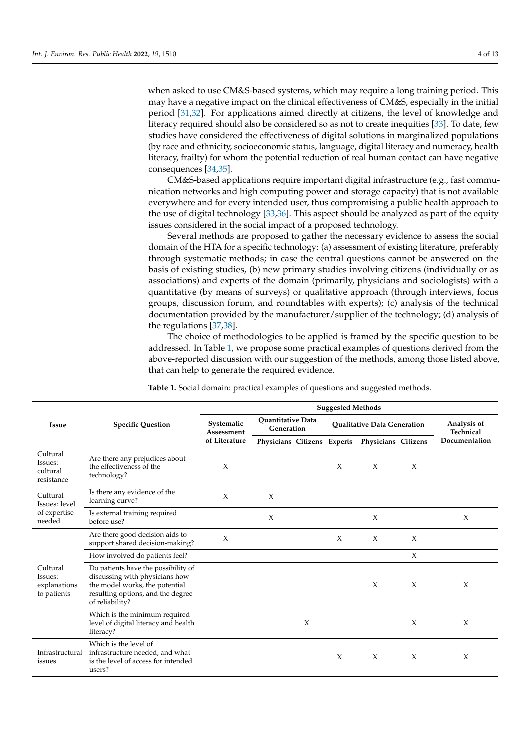when asked to use CM&S-based systems, which may require a long training period. This may have a negative impact on the clinical effectiveness of CM&S, especially in the initial period [\[31](#page-11-7)[,32\]](#page-11-8). For applications aimed directly at citizens, the level of knowledge and literacy required should also be considered so as not to create inequities [\[33\]](#page-11-9). To date, few studies have considered the effectiveness of digital solutions in marginalized populations (by race and ethnicity, socioeconomic status, language, digital literacy and numeracy, health literacy, frailty) for whom the potential reduction of real human contact can have negative consequences [\[34](#page-11-10)[,35\]](#page-11-11).

CM&S-based applications require important digital infrastructure (e.g., fast communication networks and high computing power and storage capacity) that is not available everywhere and for every intended user, thus compromising a public health approach to the use of digital technology [\[33](#page-11-9)[,36\]](#page-11-12). This aspect should be analyzed as part of the equity issues considered in the social impact of a proposed technology.

Several methods are proposed to gather the necessary evidence to assess the social domain of the HTA for a specific technology: (a) assessment of existing literature, preferably through systematic methods; in case the central questions cannot be answered on the basis of existing studies, (b) new primary studies involving citizens (individually or as associations) and experts of the domain (primarily, physicians and sociologists) with a quantitative (by means of surveys) or qualitative approach (through interviews, focus groups, discussion forum, and roundtables with experts); (c) analysis of the technical documentation provided by the manufacturer/supplier of the technology; (d) analysis of the regulations [\[37,](#page-11-13)[38\]](#page-11-14).

The choice of methodologies to be applied is framed by the specific question to be addressed. In Table [1,](#page-3-0) we propose some practical examples of questions derived from the above-reported discussion with our suggestion of the methods, among those listed above, that can help to generate the required evidence.

|                                                     | <b>Specific Question</b>                                                                                                                                        | <b>Suggested Methods</b>                  |                                        |        |                                    |                     |        |                          |  |
|-----------------------------------------------------|-----------------------------------------------------------------------------------------------------------------------------------------------------------------|-------------------------------------------|----------------------------------------|--------|------------------------------------|---------------------|--------|--------------------------|--|
| <b>Issue</b>                                        |                                                                                                                                                                 | Systematic<br>Assessment<br>of Literature | <b>Ouantitative Data</b><br>Generation |        | <b>Oualitative Data Generation</b> |                     |        | Analysis of<br>Technical |  |
|                                                     |                                                                                                                                                                 |                                           | Physicians Citizens Experts            |        |                                    | Physicians Citizens |        | Documentation            |  |
| Cultural<br>Issues:<br>cultural<br>resistance       | Are there any prejudices about<br>the effectiveness of the<br>technology?                                                                                       | X                                         |                                        |        | $\chi$                             | X                   | $\chi$ |                          |  |
| Cultural<br>Issues: level<br>of expertise<br>needed | Is there any evidence of the<br>learning curve?                                                                                                                 | $\chi$                                    | X                                      |        |                                    |                     |        |                          |  |
|                                                     | Is external training required<br>before use?                                                                                                                    |                                           | X                                      |        |                                    | $\chi$              |        | $\chi$                   |  |
| Cultural<br>Issues:<br>explanations<br>to patients  | Are there good decision aids to<br>support shared decision-making?                                                                                              | X                                         |                                        |        | $\chi$                             | $\chi$              | $\chi$ |                          |  |
|                                                     | How involved do patients feel?                                                                                                                                  |                                           |                                        |        |                                    |                     | X      |                          |  |
|                                                     | Do patients have the possibility of<br>discussing with physicians how<br>the model works, the potential<br>resulting options, and the degree<br>of reliability? |                                           |                                        |        |                                    | X                   | X      | X                        |  |
|                                                     | Which is the minimum required<br>level of digital literacy and health<br>literacy?                                                                              |                                           |                                        | $\chi$ |                                    |                     | X      | X                        |  |
| Infrastructural<br>issues                           | Which is the level of<br>infrastructure needed, and what<br>is the level of access for intended<br>users?                                                       |                                           |                                        |        | $\chi$                             | $\chi$              | $\chi$ | X                        |  |

<span id="page-3-0"></span>**Table 1.** Social domain: practical examples of questions and suggested methods.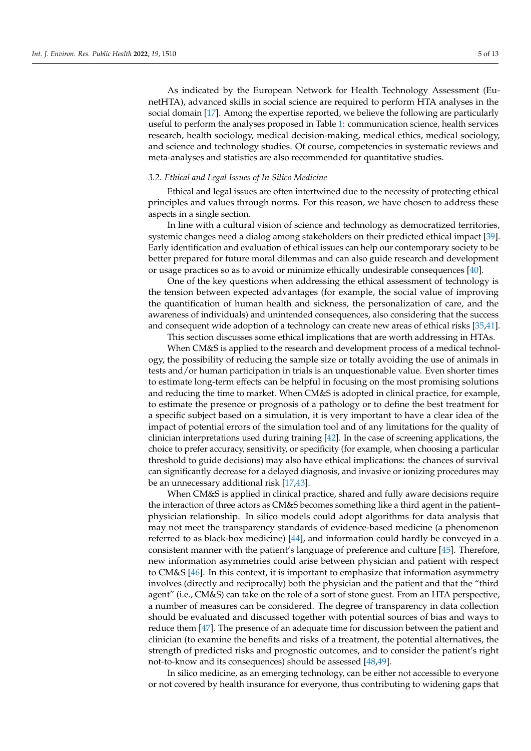As indicated by the European Network for Health Technology Assessment (EunetHTA), advanced skills in social science are required to perform HTA analyses in the social domain [\[17\]](#page-10-14). Among the expertise reported, we believe the following are particularly useful to perform the analyses proposed in Table [1:](#page-3-0) communication science, health services research, health sociology, medical decision-making, medical ethics, medical sociology, and science and technology studies. Of course, competencies in systematic reviews and meta-analyses and statistics are also recommended for quantitative studies.

#### *3.2. Ethical and Legal Issues of In Silico Medicine*

Ethical and legal issues are often intertwined due to the necessity of protecting ethical principles and values through norms. For this reason, we have chosen to address these aspects in a single section.

In line with a cultural vision of science and technology as democratized territories, systemic changes need a dialog among stakeholders on their predicted ethical impact [\[39\]](#page-11-15). Early identification and evaluation of ethical issues can help our contemporary society to be better prepared for future moral dilemmas and can also guide research and development or usage practices so as to avoid or minimize ethically undesirable consequences [\[40\]](#page-11-16).

One of the key questions when addressing the ethical assessment of technology is the tension between expected advantages (for example, the social value of improving the quantification of human health and sickness, the personalization of care, and the awareness of individuals) and unintended consequences, also considering that the success and consequent wide adoption of a technology can create new areas of ethical risks [\[35](#page-11-11)[,41\]](#page-11-17). This section discusses some ethical implications that are worth addressing in HTAs.

When CM&S is applied to the research and development process of a medical technology, the possibility of reducing the sample size or totally avoiding the use of animals in tests and/or human participation in trials is an unquestionable value. Even shorter times to estimate long-term effects can be helpful in focusing on the most promising solutions and reducing the time to market. When CM&S is adopted in clinical practice, for example, to estimate the presence or prognosis of a pathology or to define the best treatment for a specific subject based on a simulation, it is very important to have a clear idea of the impact of potential errors of the simulation tool and of any limitations for the quality of clinician interpretations used during training  $[42]$ . In the case of screening applications, the choice to prefer accuracy, sensitivity, or specificity (for example, when choosing a particular threshold to guide decisions) may also have ethical implications: the chances of survival can significantly decrease for a delayed diagnosis, and invasive or ionizing procedures may be an unnecessary additional risk [\[17,](#page-10-14)[43\]](#page-11-19).

When CM&S is applied in clinical practice, shared and fully aware decisions require the interaction of three actors as CM&S becomes something like a third agent in the patient– physician relationship. In silico models could adopt algorithms for data analysis that may not meet the transparency standards of evidence-based medicine (a phenomenon referred to as black-box medicine) [\[44\]](#page-11-20), and information could hardly be conveyed in a consistent manner with the patient's language of preference and culture [\[45\]](#page-11-21). Therefore, new information asymmetries could arise between physician and patient with respect to CM&S [\[46\]](#page-11-22). In this context, it is important to emphasize that information asymmetry involves (directly and reciprocally) both the physician and the patient and that the "third agent" (i.e., CM&S) can take on the role of a sort of stone guest. From an HTA perspective, a number of measures can be considered. The degree of transparency in data collection should be evaluated and discussed together with potential sources of bias and ways to reduce them [\[47\]](#page-11-23). The presence of an adequate time for discussion between the patient and clinician (to examine the benefits and risks of a treatment, the potential alternatives, the strength of predicted risks and prognostic outcomes, and to consider the patient's right not-to-know and its consequences) should be assessed [\[48,](#page-11-24)[49\]](#page-11-25).

In silico medicine, as an emerging technology, can be either not accessible to everyone or not covered by health insurance for everyone, thus contributing to widening gaps that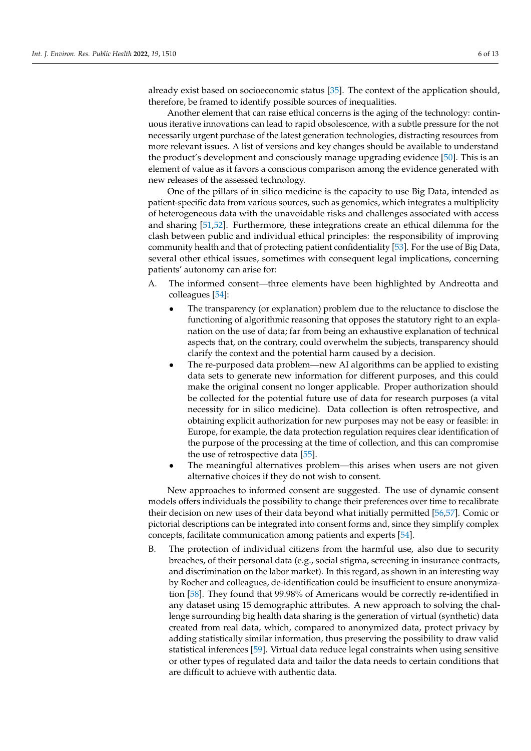already exist based on socioeconomic status [\[35\]](#page-11-11). The context of the application should, therefore, be framed to identify possible sources of inequalities.

Another element that can raise ethical concerns is the aging of the technology: continuous iterative innovations can lead to rapid obsolescence, with a subtle pressure for the not necessarily urgent purchase of the latest generation technologies, distracting resources from more relevant issues. A list of versions and key changes should be available to understand the product's development and consciously manage upgrading evidence [\[50\]](#page-11-26). This is an element of value as it favors a conscious comparison among the evidence generated with new releases of the assessed technology.

One of the pillars of in silico medicine is the capacity to use Big Data, intended as patient-specific data from various sources, such as genomics, which integrates a multiplicity of heterogeneous data with the unavoidable risks and challenges associated with access and sharing [\[51](#page-11-27)[,52\]](#page-11-28). Furthermore, these integrations create an ethical dilemma for the clash between public and individual ethical principles: the responsibility of improving community health and that of protecting patient confidentiality [\[53\]](#page-12-0). For the use of Big Data, several other ethical issues, sometimes with consequent legal implications, concerning patients' autonomy can arise for:

- A. The informed consent—three elements have been highlighted by Andreotta and colleagues [\[54\]](#page-12-1):
	- The transparency (or explanation) problem due to the reluctance to disclose the functioning of algorithmic reasoning that opposes the statutory right to an explanation on the use of data; far from being an exhaustive explanation of technical aspects that, on the contrary, could overwhelm the subjects, transparency should clarify the context and the potential harm caused by a decision.
	- The re-purposed data problem—new AI algorithms can be applied to existing data sets to generate new information for different purposes, and this could make the original consent no longer applicable. Proper authorization should be collected for the potential future use of data for research purposes (a vital necessity for in silico medicine). Data collection is often retrospective, and obtaining explicit authorization for new purposes may not be easy or feasible: in Europe, for example, the data protection regulation requires clear identification of the purpose of the processing at the time of collection, and this can compromise the use of retrospective data [\[55\]](#page-12-2).
	- The meaningful alternatives problem—this arises when users are not given alternative choices if they do not wish to consent.

New approaches to informed consent are suggested. The use of dynamic consent models offers individuals the possibility to change their preferences over time to recalibrate their decision on new uses of their data beyond what initially permitted [\[56,](#page-12-3)[57\]](#page-12-4). Comic or pictorial descriptions can be integrated into consent forms and, since they simplify complex concepts, facilitate communication among patients and experts [\[54\]](#page-12-1).

B. The protection of individual citizens from the harmful use, also due to security breaches, of their personal data (e.g., social stigma, screening in insurance contracts, and discrimination on the labor market). In this regard, as shown in an interesting way by Rocher and colleagues, de-identification could be insufficient to ensure anonymization [\[58\]](#page-12-5). They found that 99.98% of Americans would be correctly re-identified in any dataset using 15 demographic attributes. A new approach to solving the challenge surrounding big health data sharing is the generation of virtual (synthetic) data created from real data, which, compared to anonymized data, protect privacy by adding statistically similar information, thus preserving the possibility to draw valid statistical inferences [\[59\]](#page-12-6). Virtual data reduce legal constraints when using sensitive or other types of regulated data and tailor the data needs to certain conditions that are difficult to achieve with authentic data.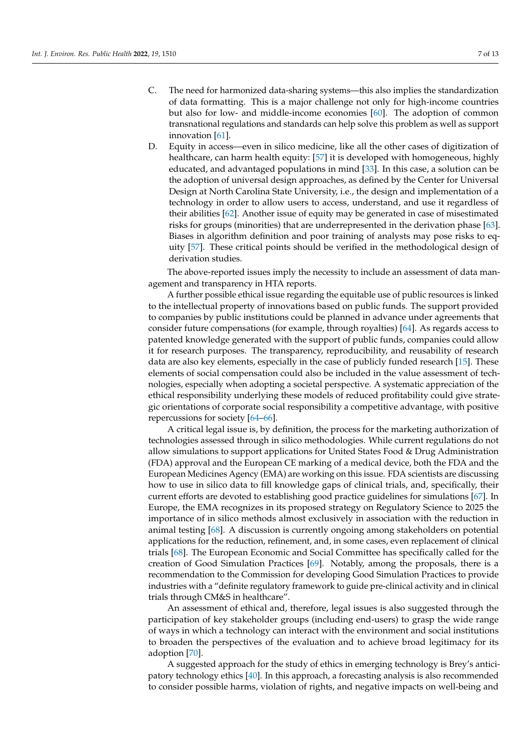- C. The need for harmonized data-sharing systems—this also implies the standardization of data formatting. This is a major challenge not only for high-income countries but also for low- and middle-income economies [\[60\]](#page-12-7). The adoption of common transnational regulations and standards can help solve this problem as well as support innovation [\[61\]](#page-12-8).
- D. Equity in access—even in silico medicine, like all the other cases of digitization of healthcare, can harm health equity: [\[57\]](#page-12-4) it is developed with homogeneous, highly educated, and advantaged populations in mind [\[33\]](#page-11-9). In this case, a solution can be the adoption of universal design approaches, as defined by the Center for Universal Design at North Carolina State University, i.e., the design and implementation of a technology in order to allow users to access, understand, and use it regardless of their abilities [\[62\]](#page-12-9). Another issue of equity may be generated in case of misestimated risks for groups (minorities) that are underrepresented in the derivation phase [\[63\]](#page-12-10). Biases in algorithm definition and poor training of analysts may pose risks to equity [\[57\]](#page-12-4). These critical points should be verified in the methodological design of derivation studies.

The above-reported issues imply the necessity to include an assessment of data management and transparency in HTA reports.

A further possible ethical issue regarding the equitable use of public resources is linked to the intellectual property of innovations based on public funds. The support provided to companies by public institutions could be planned in advance under agreements that consider future compensations (for example, through royalties) [\[64\]](#page-12-11). As regards access to patented knowledge generated with the support of public funds, companies could allow it for research purposes. The transparency, reproducibility, and reusability of research data are also key elements, especially in the case of publicly funded research [\[15\]](#page-10-12). These elements of social compensation could also be included in the value assessment of technologies, especially when adopting a societal perspective. A systematic appreciation of the ethical responsibility underlying these models of reduced profitability could give strategic orientations of corporate social responsibility a competitive advantage, with positive repercussions for society [\[64–](#page-12-11)[66\]](#page-12-12).

A critical legal issue is, by definition, the process for the marketing authorization of technologies assessed through in silico methodologies. While current regulations do not allow simulations to support applications for United States Food & Drug Administration (FDA) approval and the European CE marking of a medical device, both the FDA and the European Medicines Agency (EMA) are working on this issue. FDA scientists are discussing how to use in silico data to fill knowledge gaps of clinical trials, and, specifically, their current efforts are devoted to establishing good practice guidelines for simulations [\[67\]](#page-12-13). In Europe, the EMA recognizes in its proposed strategy on Regulatory Science to 2025 the importance of in silico methods almost exclusively in association with the reduction in animal testing [\[68\]](#page-12-14). A discussion is currently ongoing among stakeholders on potential applications for the reduction, refinement, and, in some cases, even replacement of clinical trials [\[68\]](#page-12-14). The European Economic and Social Committee has specifically called for the creation of Good Simulation Practices [\[69\]](#page-12-15). Notably, among the proposals, there is a recommendation to the Commission for developing Good Simulation Practices to provide industries with a "definite regulatory framework to guide pre-clinical activity and in clinical trials through CM&S in healthcare".

An assessment of ethical and, therefore, legal issues is also suggested through the participation of key stakeholder groups (including end-users) to grasp the wide range of ways in which a technology can interact with the environment and social institutions to broaden the perspectives of the evaluation and to achieve broad legitimacy for its adoption [\[70\]](#page-12-16).

A suggested approach for the study of ethics in emerging technology is Brey's anticipatory technology ethics [\[40\]](#page-11-16). In this approach, a forecasting analysis is also recommended to consider possible harms, violation of rights, and negative impacts on well-being and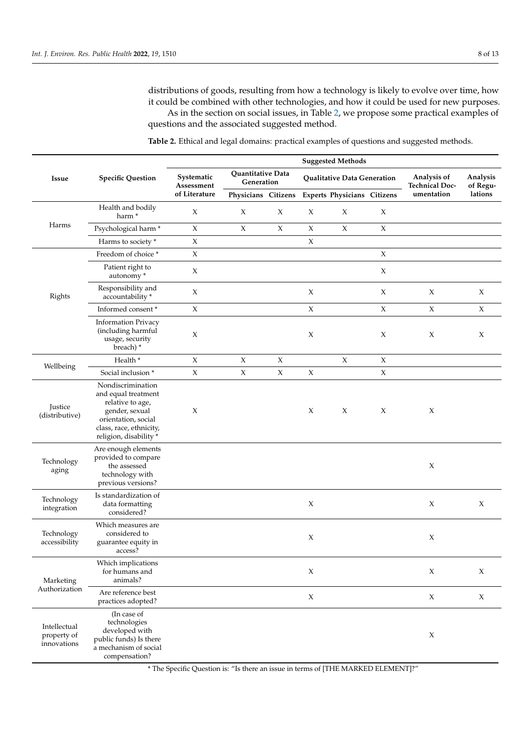distributions of goods, resulting from how a technology is likely to evolve over time, how it could be combined with other technologies, and how it could be used for new purposes. As in the section on social issues, in Table [2,](#page-7-0) we propose some practical examples of

questions and the associated suggested method.

| Issue                                      | <b>Specific Question</b>                                                                                                                                   | <b>Suggested Methods</b>                  |                                 |                           |                             |                             |                     |                                      |                      |  |
|--------------------------------------------|------------------------------------------------------------------------------------------------------------------------------------------------------------|-------------------------------------------|---------------------------------|---------------------------|-----------------------------|-----------------------------|---------------------|--------------------------------------|----------------------|--|
|                                            |                                                                                                                                                            | Systematic<br>Assessment<br>of Literature | Quantitative Data<br>Generation |                           | Qualitative Data Generation |                             |                     | Analysis of<br><b>Technical Doc-</b> | Analysis<br>of Regu- |  |
|                                            |                                                                                                                                                            |                                           | Physicians Citizens             |                           |                             | Experts Physicians Citizens |                     | umentation                           | lations              |  |
| Harms                                      | Health and bodily<br>harm <sup>*</sup>                                                                                                                     | X                                         | X                               | X                         | X                           | X                           | $\chi$              |                                      |                      |  |
|                                            | Psychological harm*                                                                                                                                        | $\chi$                                    | $\chi$                          | $\chi$                    | X                           | $\chi$                      | $\chi$              |                                      |                      |  |
|                                            | Harms to society *                                                                                                                                         | X                                         |                                 |                           | $\boldsymbol{\chi}$         |                             |                     |                                      |                      |  |
| Rights                                     | Freedom of choice *                                                                                                                                        | $\mathsf X$                               |                                 |                           |                             |                             | $\chi$              |                                      |                      |  |
|                                            | Patient right to<br>autonomy*                                                                                                                              | $\mathsf X$                               |                                 |                           |                             |                             | $\boldsymbol{\chi}$ |                                      |                      |  |
|                                            | Responsibility and<br>accountability *                                                                                                                     | $\chi$                                    |                                 |                           | X                           |                             | $\boldsymbol{\chi}$ | $\chi$                               | $\chi$               |  |
|                                            | Informed consent*                                                                                                                                          | $\chi$                                    |                                 |                           | X                           |                             | $\chi$              | X                                    | $\chi$               |  |
|                                            | <b>Information Privacy</b><br>(including harmful<br>usage, security<br>breach)*                                                                            | X                                         |                                 |                           | X                           |                             | X                   | X                                    | X                    |  |
| Wellbeing                                  | Health *                                                                                                                                                   | $\mathsf X$                               | $\boldsymbol{\chi}$             | $\boldsymbol{\mathsf{X}}$ |                             | $\chi$                      | X                   |                                      |                      |  |
|                                            | Social inclusion *                                                                                                                                         | $\chi$                                    | $\mathsf X$                     | $\mathsf X$               | X                           |                             | $\chi$              |                                      |                      |  |
| Justice<br>(distributive)                  | Nondiscrimination<br>and equal treatment<br>relative to age,<br>gender, sexual<br>orientation, social<br>class, race, ethnicity,<br>religion, disability * | X                                         |                                 |                           | X                           | X                           | X                   | X                                    |                      |  |
| Technology<br>aging                        | Are enough elements<br>provided to compare<br>the assessed<br>technology with<br>previous versions?                                                        |                                           |                                 |                           |                             |                             |                     | X                                    |                      |  |
| Technology<br>integration                  | Is standardization of<br>data formatting<br>considered?                                                                                                    |                                           |                                 |                           | X                           |                             |                     | X                                    | $\chi$               |  |
| Technology<br>accessibility                | Which measures are<br>considered to<br>guarantee equity in<br>access?                                                                                      |                                           |                                 |                           | X                           |                             |                     | X                                    |                      |  |
| Marketing<br>Authorization                 | Which implications<br>for humans and<br>animals?                                                                                                           |                                           |                                 |                           | X                           |                             |                     | $\chi$                               | X                    |  |
|                                            | Are reference best<br>practices adopted?                                                                                                                   |                                           |                                 |                           | $\mathsf X$                 |                             |                     | $\mathsf X$                          | $\chi$               |  |
| Intellectual<br>property of<br>innovations | (In case of<br>technologies<br>developed with<br>public funds) Is there<br>a mechanism of social<br>compensation?                                          |                                           |                                 |                           |                             |                             |                     | X                                    |                      |  |

<span id="page-7-0"></span>**Table 2.** Ethical and legal domains: practical examples of questions and suggested methods.

\* The Specific Question is: "Is there an issue in terms of [THE MARKED ELEMENT]?"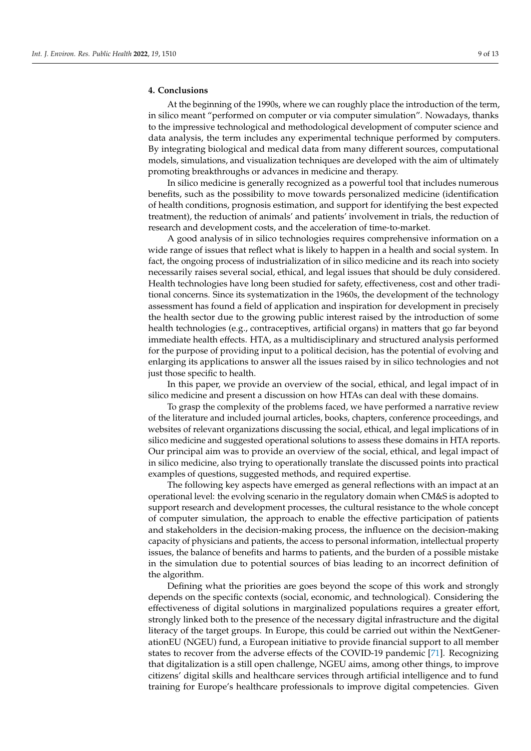## **4. Conclusions**

At the beginning of the 1990s, where we can roughly place the introduction of the term, in silico meant "performed on computer or via computer simulation". Nowadays, thanks to the impressive technological and methodological development of computer science and data analysis, the term includes any experimental technique performed by computers. By integrating biological and medical data from many different sources, computational models, simulations, and visualization techniques are developed with the aim of ultimately promoting breakthroughs or advances in medicine and therapy.

In silico medicine is generally recognized as a powerful tool that includes numerous benefits, such as the possibility to move towards personalized medicine (identification of health conditions, prognosis estimation, and support for identifying the best expected treatment), the reduction of animals' and patients' involvement in trials, the reduction of research and development costs, and the acceleration of time-to-market.

A good analysis of in silico technologies requires comprehensive information on a wide range of issues that reflect what is likely to happen in a health and social system. In fact, the ongoing process of industrialization of in silico medicine and its reach into society necessarily raises several social, ethical, and legal issues that should be duly considered. Health technologies have long been studied for safety, effectiveness, cost and other traditional concerns. Since its systematization in the 1960s, the development of the technology assessment has found a field of application and inspiration for development in precisely the health sector due to the growing public interest raised by the introduction of some health technologies (e.g., contraceptives, artificial organs) in matters that go far beyond immediate health effects. HTA, as a multidisciplinary and structured analysis performed for the purpose of providing input to a political decision, has the potential of evolving and enlarging its applications to answer all the issues raised by in silico technologies and not just those specific to health.

In this paper, we provide an overview of the social, ethical, and legal impact of in silico medicine and present a discussion on how HTAs can deal with these domains.

To grasp the complexity of the problems faced, we have performed a narrative review of the literature and included journal articles, books, chapters, conference proceedings, and websites of relevant organizations discussing the social, ethical, and legal implications of in silico medicine and suggested operational solutions to assess these domains in HTA reports. Our principal aim was to provide an overview of the social, ethical, and legal impact of in silico medicine, also trying to operationally translate the discussed points into practical examples of questions, suggested methods, and required expertise.

The following key aspects have emerged as general reflections with an impact at an operational level: the evolving scenario in the regulatory domain when CM&S is adopted to support research and development processes, the cultural resistance to the whole concept of computer simulation, the approach to enable the effective participation of patients and stakeholders in the decision-making process, the influence on the decision-making capacity of physicians and patients, the access to personal information, intellectual property issues, the balance of benefits and harms to patients, and the burden of a possible mistake in the simulation due to potential sources of bias leading to an incorrect definition of the algorithm.

Defining what the priorities are goes beyond the scope of this work and strongly depends on the specific contexts (social, economic, and technological). Considering the effectiveness of digital solutions in marginalized populations requires a greater effort, strongly linked both to the presence of the necessary digital infrastructure and the digital literacy of the target groups. In Europe, this could be carried out within the NextGenerationEU (NGEU) fund, a European initiative to provide financial support to all member states to recover from the adverse effects of the COVID-19 pandemic [\[71\]](#page-12-17). Recognizing that digitalization is a still open challenge, NGEU aims, among other things, to improve citizens' digital skills and healthcare services through artificial intelligence and to fund training for Europe's healthcare professionals to improve digital competencies. Given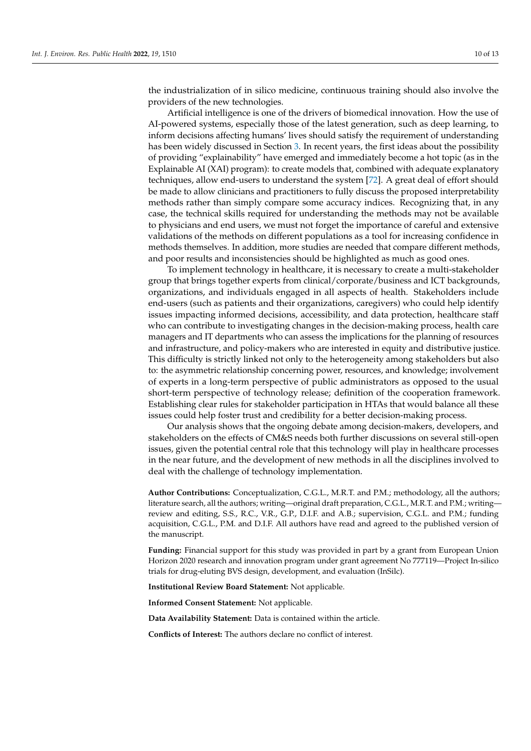the industrialization of in silico medicine, continuous training should also involve the providers of the new technologies.

Artificial intelligence is one of the drivers of biomedical innovation. How the use of AI-powered systems, especially those of the latest generation, such as deep learning, to inform decisions affecting humans' lives should satisfy the requirement of understanding has been widely discussed in Section [3.](#page-2-0) In recent years, the first ideas about the possibility of providing "explainability" have emerged and immediately become a hot topic (as in the Explainable AI (XAI) program): to create models that, combined with adequate explanatory techniques, allow end-users to understand the system [\[72\]](#page-12-18). A great deal of effort should be made to allow clinicians and practitioners to fully discuss the proposed interpretability methods rather than simply compare some accuracy indices. Recognizing that, in any case, the technical skills required for understanding the methods may not be available to physicians and end users, we must not forget the importance of careful and extensive validations of the methods on different populations as a tool for increasing confidence in methods themselves. In addition, more studies are needed that compare different methods, and poor results and inconsistencies should be highlighted as much as good ones.

To implement technology in healthcare, it is necessary to create a multi-stakeholder group that brings together experts from clinical/corporate/business and ICT backgrounds, organizations, and individuals engaged in all aspects of health. Stakeholders include end-users (such as patients and their organizations, caregivers) who could help identify issues impacting informed decisions, accessibility, and data protection, healthcare staff who can contribute to investigating changes in the decision-making process, health care managers and IT departments who can assess the implications for the planning of resources and infrastructure, and policy-makers who are interested in equity and distributive justice. This difficulty is strictly linked not only to the heterogeneity among stakeholders but also to: the asymmetric relationship concerning power, resources, and knowledge; involvement of experts in a long-term perspective of public administrators as opposed to the usual short-term perspective of technology release; definition of the cooperation framework. Establishing clear rules for stakeholder participation in HTAs that would balance all these issues could help foster trust and credibility for a better decision-making process.

Our analysis shows that the ongoing debate among decision-makers, developers, and stakeholders on the effects of CM&S needs both further discussions on several still-open issues, given the potential central role that this technology will play in healthcare processes in the near future, and the development of new methods in all the disciplines involved to deal with the challenge of technology implementation.

**Author Contributions:** Conceptualization, C.G.L., M.R.T. and P.M.; methodology, all the authors; literature search, all the authors; writing—original draft preparation, C.G.L., M.R.T. and P.M.; writing review and editing, S.S., R.C., V.R., G.P., D.I.F. and A.B.; supervision, C.G.L. and P.M.; funding acquisition, C.G.L., P.M. and D.I.F. All authors have read and agreed to the published version of the manuscript.

**Funding:** Financial support for this study was provided in part by a grant from European Union Horizon 2020 research and innovation program under grant agreement No 777119—Project In-silico trials for drug-eluting BVS design, development, and evaluation (InSilc).

**Institutional Review Board Statement:** Not applicable.

**Informed Consent Statement:** Not applicable.

**Data Availability Statement:** Data is contained within the article.

**Conflicts of Interest:** The authors declare no conflict of interest.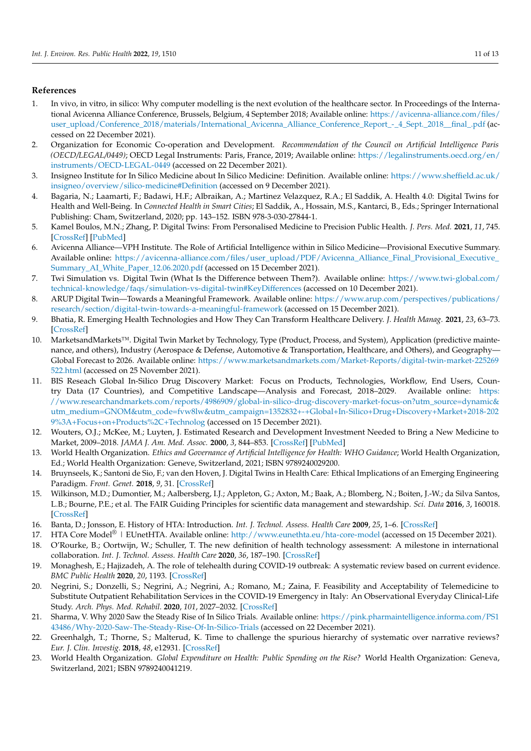# **References**

- <span id="page-10-0"></span>1. In vivo, in vitro, in silico: Why computer modelling is the next evolution of the healthcare sector. In Proceedings of the International Avicenna Alliance Conference, Brussels, Belgium, 4 September 2018; Available online: [https://avicenna-alliance.com/files/](https://avicenna-alliance.com/files/user_upload/Conference_2018/materials/International_Avicenna_Alliance_Conference_Report_-_4_Sept._2018__final_.pdf) [user\\_upload/Conference\\_2018/materials/International\\_Avicenna\\_Alliance\\_Conference\\_Report\\_-\\_4\\_Sept.\\_2018\\_\\_final\\_.pdf](https://avicenna-alliance.com/files/user_upload/Conference_2018/materials/International_Avicenna_Alliance_Conference_Report_-_4_Sept._2018__final_.pdf) (accessed on 22 December 2021).
- <span id="page-10-1"></span>2. Organization for Economic Co-operation and Development. *Recommendation of the Council on Artificial Intelligence Paris (OECD/LEGAL/0449)*; OECD Legal Instruments: Paris, France, 2019; Available online: [https://legalinstruments.oecd.org/en/](https://legalinstruments.oecd.org/en/instruments/OECD-LEGAL-0449) [instruments/OECD-LEGAL-0449](https://legalinstruments.oecd.org/en/instruments/OECD-LEGAL-0449) (accessed on 22 December 2021).
- <span id="page-10-2"></span>3. Insigneo Institute for In Silico Medicine about In Silico Medicine: Definition. Available online: [https://www.sheffield.ac.uk/](https://www.sheffield.ac.uk/insigneo/overview/silico-medicine#Definition) [insigneo/overview/silico-medicine#Definition](https://www.sheffield.ac.uk/insigneo/overview/silico-medicine#Definition) (accessed on 9 December 2021).
- 4. Bagaria, N.; Laamarti, F.; Badawi, H.F.; Albraikan, A.; Martinez Velazquez, R.A.; El Saddik, A. Health 4.0: Digital Twins for Health and Well-Being. In *Connected Health in Smart Cities*; El Saddik, A., Hossain, M.S., Kantarci, B., Eds.; Springer International Publishing: Cham, Switzerland, 2020; pp. 143–152. ISBN 978-3-030-27844-1.
- <span id="page-10-3"></span>5. Kamel Boulos, M.N.; Zhang, P. Digital Twins: From Personalised Medicine to Precision Public Health. *J. Pers. Med.* **2021**, *11*, 745. [\[CrossRef\]](http://doi.org/10.3390/jpm11080745) [\[PubMed\]](http://www.ncbi.nlm.nih.gov/pubmed/34442389)
- <span id="page-10-4"></span>6. Avicenna Alliance—VPH Institute. The Role of Artificial Intelligence within in Silico Medicine—Provisional Executive Summary. Available online: [https://avicenna-alliance.com/files/user\\_upload/PDF/Avicenna\\_Alliance\\_Final\\_Provisional\\_Executive\\_](https://avicenna-alliance.com/files/user_upload/PDF/Avicenna_Alliance_Final_Provisional_Executive_Summary_AI_White_Paper_12.06.2020.pdf) [Summary\\_AI\\_White\\_Paper\\_12.06.2020.pdf](https://avicenna-alliance.com/files/user_upload/PDF/Avicenna_Alliance_Final_Provisional_Executive_Summary_AI_White_Paper_12.06.2020.pdf) (accessed on 15 December 2021).
- <span id="page-10-5"></span>7. Twi Simulation vs. Digital Twin (What Is the Difference between Them?). Available online: [https://www.twi-global.com/](https://www.twi-global.com/technical-knowledge/faqs/simulation-vs-digital-twin#KeyDifferences) [technical-knowledge/faqs/simulation-vs-digital-twin#KeyDifferences](https://www.twi-global.com/technical-knowledge/faqs/simulation-vs-digital-twin#KeyDifferences) (accessed on 10 December 2021).
- <span id="page-10-6"></span>8. ARUP Digital Twin—Towards a Meaningful Framework. Available online: [https://www.arup.com/perspectives/publications/](https://www.arup.com/perspectives/publications/research/section/digital-twin-towards-a-meaningful-framework) [research/section/digital-twin-towards-a-meaningful-framework](https://www.arup.com/perspectives/publications/research/section/digital-twin-towards-a-meaningful-framework) (accessed on 15 December 2021).
- <span id="page-10-7"></span>9. Bhatia, R. Emerging Health Technologies and How They Can Transform Healthcare Delivery. *J. Health Manag.* **2021**, *23*, 63–73. [\[CrossRef\]](http://doi.org/10.1177/0972063421995025)
- <span id="page-10-8"></span>10. MarketsandMarkets™. Digital Twin Market by Technology, Type (Product, Process, and System), Application (predictive maintenance, and others), Industry (Aerospace & Defense, Automotive & Transportation, Healthcare, and Others), and Geography— Global Forecast to 2026. Available online: [https://www.marketsandmarkets.com/Market-Reports/digital-twin-market-225269](https://www.marketsandmarkets.com/Market-Reports/digital-twin-market-225269522.html) [522.html](https://www.marketsandmarkets.com/Market-Reports/digital-twin-market-225269522.html) (accessed on 25 November 2021).
- <span id="page-10-9"></span>11. BIS Reseach Global In-Silico Drug Discovery Market: Focus on Products, Technologies, Workflow, End Users, Country Data (17 Countries), and Competitive Landscape—Analysis and Forecast, 2018–2029. Available online: [https:](https://www.researchandmarkets.com/reports/4986909/global-in-silico-drug-discovery-market-focus-on?utm_source=dynamic&utm_medium=GNOM&utm_code=fvw8lw&utm_campaign=1352832+-+Global+In-Silico+Drug+Discovery+Market+2018-2029%3A+Focus+on+Products%2C+Technolog) [//www.researchandmarkets.com/reports/4986909/global-in-silico-drug-discovery-market-focus-on?utm\\_source=dynamic&](https://www.researchandmarkets.com/reports/4986909/global-in-silico-drug-discovery-market-focus-on?utm_source=dynamic&utm_medium=GNOM&utm_code=fvw8lw&utm_campaign=1352832+-+Global+In-Silico+Drug+Discovery+Market+2018-2029%3A+Focus+on+Products%2C+Technolog) [utm\\_medium=GNOM&utm\\_code=fvw8lw&utm\\_campaign=1352832+-+Global+In-Silico+Drug+Discovery+Market+2018-202](https://www.researchandmarkets.com/reports/4986909/global-in-silico-drug-discovery-market-focus-on?utm_source=dynamic&utm_medium=GNOM&utm_code=fvw8lw&utm_campaign=1352832+-+Global+In-Silico+Drug+Discovery+Market+2018-2029%3A+Focus+on+Products%2C+Technolog) [9%3A+Focus+on+Products%2C+Technolog](https://www.researchandmarkets.com/reports/4986909/global-in-silico-drug-discovery-market-focus-on?utm_source=dynamic&utm_medium=GNOM&utm_code=fvw8lw&utm_campaign=1352832+-+Global+In-Silico+Drug+Discovery+Market+2018-2029%3A+Focus+on+Products%2C+Technolog) (accessed on 15 December 2021).
- <span id="page-10-10"></span>12. Wouters, O.J.; McKee, M.; Luyten, J. Estimated Research and Development Investment Needed to Bring a New Medicine to Market, 2009–2018. *JAMA J. Am. Med. Assoc.* **2000**, *3*, 844–853. [\[CrossRef\]](http://doi.org/10.1001/jama.2020.1166) [\[PubMed\]](http://www.ncbi.nlm.nih.gov/pubmed/32125404)
- <span id="page-10-11"></span>13. World Health Organization. *Ethics and Governance of Artificial Intelligence for Health: WHO Guidance*; World Health Organization, Ed.; World Health Organization: Geneve, Switzerland, 2021; ISBN 9789240029200.
- 14. Bruynseels, K.; Santoni de Sio, F.; van den Hoven, J. Digital Twins in Health Care: Ethical Implications of an Emerging Engineering Paradigm. *Front. Genet.* **2018**, *9*, 31. [\[CrossRef\]](http://doi.org/10.3389/fgene.2018.00031)
- <span id="page-10-12"></span>15. Wilkinson, M.D.; Dumontier, M.; Aalbersberg, I.J.; Appleton, G.; Axton, M.; Baak, A.; Blomberg, N.; Boiten, J.-W.; da Silva Santos, L.B.; Bourne, P.E.; et al. The FAIR Guiding Principles for scientific data management and stewardship. *Sci. Data* **2016**, *3*, 160018. [\[CrossRef\]](http://doi.org/10.1038/sdata.2016.18)
- <span id="page-10-13"></span>16. Banta, D.; Jonsson, E. History of HTA: Introduction. *Int. J. Technol. Assess. Health Care* **2009**, *25*, 1–6. [\[CrossRef\]](http://doi.org/10.1017/S0266462309090321)
- <span id="page-10-14"></span>17. HTA Core Model<sup>®</sup> | EUnetHTA. Available online: <http://www.eunethta.eu/hta-core-model> (accessed on 15 December 2021).
- <span id="page-10-15"></span>18. O'Rourke, B.; Oortwijn, W.; Schuller, T. The new definition of health technology assessment: A milestone in international collaboration. *Int. J. Technol. Assess. Health Care* **2020**, *36*, 187–190. [\[CrossRef\]](http://doi.org/10.1017/S0266462320000215)
- <span id="page-10-16"></span>19. Monaghesh, E.; Hajizadeh, A. The role of telehealth during COVID-19 outbreak: A systematic review based on current evidence. *BMC Public Health* **2020**, *20*, 1193. [\[CrossRef\]](http://doi.org/10.1186/s12889-020-09301-4)
- <span id="page-10-17"></span>20. Negrini, S.; Donzelli, S.; Negrini, A.; Negrini, A.; Romano, M.; Zaina, F. Feasibility and Acceptability of Telemedicine to Substitute Outpatient Rehabilitation Services in the COVID-19 Emergency in Italy: An Observational Everyday Clinical-Life Study. *Arch. Phys. Med. Rehabil.* **2020**, *101*, 2027–2032. [\[CrossRef\]](http://doi.org/10.1016/j.apmr.2020.08.001)
- <span id="page-10-18"></span>21. Sharma, V. Why 2020 Saw the Steady Rise of In Silico Trials. Available online: [https://pink.pharmaintelligence.informa.com/PS1](https://pink.pharmaintelligence.informa.com/PS143486/Why-2020-Saw-The-Steady-Rise-Of-In-Silico-Trials) [43486/Why-2020-Saw-The-Steady-Rise-Of-In-Silico-Trials](https://pink.pharmaintelligence.informa.com/PS143486/Why-2020-Saw-The-Steady-Rise-Of-In-Silico-Trials) (accessed on 22 December 2021).
- <span id="page-10-19"></span>22. Greenhalgh, T.; Thorne, S.; Malterud, K. Time to challenge the spurious hierarchy of systematic over narrative reviews? *Eur. J. Clin. Investig.* **2018**, *48*, e12931. [\[CrossRef\]](http://doi.org/10.1111/eci.12931)
- <span id="page-10-20"></span>23. World Health Organization. *Global Expenditure on Health: Public Spending on the Rise?* World Health Organization: Geneva, Switzerland, 2021; ISBN 9789240041219.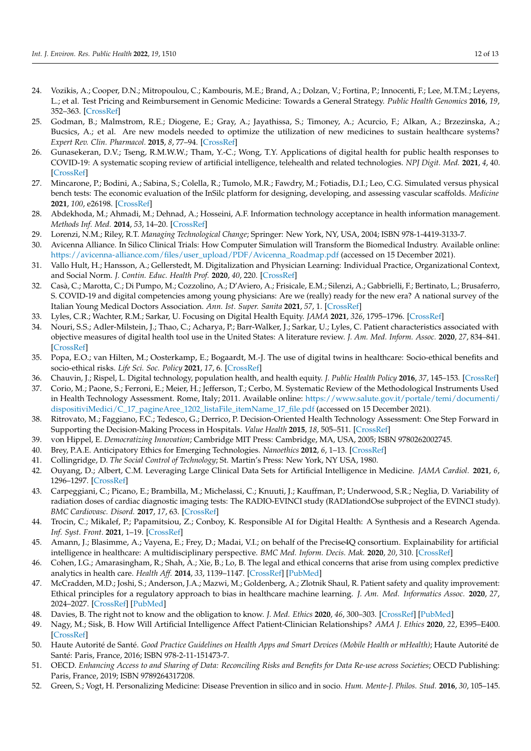- <span id="page-11-0"></span>24. Vozikis, A.; Cooper, D.N.; Mitropoulou, C.; Kambouris, M.E.; Brand, A.; Dolzan, V.; Fortina, P.; Innocenti, F.; Lee, M.T.M.; Leyens, L.; et al. Test Pricing and Reimbursement in Genomic Medicine: Towards a General Strategy. *Public Health Genomics* **2016**, *19*, 352–363. [\[CrossRef\]](http://doi.org/10.1159/000449152)
- <span id="page-11-1"></span>25. Godman, B.; Malmstrom, R.E.; Diogene, E.; Gray, A.; Jayathissa, S.; Timoney, A.; Acurcio, F.; Alkan, A.; Brzezinska, A.; Bucsics, A.; et al. Are new models needed to optimize the utilization of new medicines to sustain healthcare systems? *Expert Rev. Clin. Pharmacol.* **2015**, *8*, 77–94. [\[CrossRef\]](http://doi.org/10.1586/17512433.2015.990380)
- <span id="page-11-2"></span>26. Gunasekeran, D.V.; Tseng, R.M.W.W.; Tham, Y.-C.; Wong, T.Y. Applications of digital health for public health responses to COVID-19: A systematic scoping review of artificial intelligence, telehealth and related technologies. *NPJ Digit. Med.* **2021**, *4*, 40. [\[CrossRef\]](http://doi.org/10.1038/s41746-021-00412-9)
- <span id="page-11-3"></span>27. Mincarone, P.; Bodini, A.; Sabina, S.; Colella, R.; Tumolo, M.R.; Fawdry, M.; Fotiadis, D.I.; Leo, C.G. Simulated versus physical bench tests: The economic evaluation of the InSilc platform for designing, developing, and assessing vascular scaffolds. *Medicine* **2021**, *100*, e26198. [\[CrossRef\]](http://doi.org/10.1097/MD.0000000000026198)
- <span id="page-11-4"></span>28. Abdekhoda, M.; Ahmadi, M.; Dehnad, A.; Hosseini, A.F. Information technology acceptance in health information management. *Methods Inf. Med.* **2014**, *53*, 14–20. [\[CrossRef\]](http://doi.org/10.3414/ME13-01-0079)
- <span id="page-11-5"></span>29. Lorenzi, N.M.; Riley, R.T. *Managing Technological Change*; Springer: New York, NY, USA, 2004; ISBN 978-1-4419-3133-7.
- <span id="page-11-6"></span>30. Avicenna Alliance. In Silico Clinical Trials: How Computer Simulation will Transform the Biomedical Industry. Available online: [https://avicenna-alliance.com/files/user\\_upload/PDF/Avicenna\\_Roadmap.pdf](https://avicenna-alliance.com/files/user_upload/PDF/Avicenna_Roadmap.pdf) (accessed on 15 December 2021).
- <span id="page-11-7"></span>31. Vallo Hult, H.; Hansson, A.; Gellerstedt, M. Digitalization and Physician Learning: Individual Practice, Organizational Context, and Social Norm. *J. Contin. Educ. Health Prof.* **2020**, *40*, 220. [\[CrossRef\]](http://doi.org/10.1097/CEH.0000000000000303)
- <span id="page-11-8"></span>32. Casà, C.; Marotta, C.; Di Pumpo, M.; Cozzolino, A.; D'Aviero, A.; Frisicale, E.M.; Silenzi, A.; Gabbrielli, F.; Bertinato, L.; Brusaferro, S. COVID-19 and digital competencies among young physicians: Are we (really) ready for the new era? A national survey of the Italian Young Medical Doctors Association. *Ann. Ist. Super. Sanita* **2021**, *57*, 1. [\[CrossRef\]](http://doi.org/10.4415/ANN_21_01_01)
- <span id="page-11-9"></span>33. Lyles, C.R.; Wachter, R.M.; Sarkar, U. Focusing on Digital Health Equity. *JAMA* **2021**, *326*, 1795–1796. [\[CrossRef\]](http://doi.org/10.1001/jama.2021.18459)
- <span id="page-11-10"></span>34. Nouri, S.S.; Adler-Milstein, J.; Thao, C.; Acharya, P.; Barr-Walker, J.; Sarkar, U.; Lyles, C. Patient characteristics associated with objective measures of digital health tool use in the United States: A literature review. *J. Am. Med. Inform. Assoc.* **2020**, *27*, 834–841. [\[CrossRef\]](http://doi.org/10.1093/jamia/ocaa024)
- <span id="page-11-11"></span>35. Popa, E.O.; van Hilten, M.; Oosterkamp, E.; Bogaardt, M.-J. The use of digital twins in healthcare: Socio-ethical benefits and socio-ethical risks. *Life Sci. Soc. Policy* **2021**, *17*, 6. [\[CrossRef\]](http://doi.org/10.1186/s40504-021-00113-x)
- <span id="page-11-12"></span>36. Chauvin, J.; Rispel, L. Digital technology, population health, and health equity. *J. Public Health Policy* **2016**, *37*, 145–153. [\[CrossRef\]](http://doi.org/10.1057/s41271-016-0041-0)
- <span id="page-11-13"></span>37. Corio, M.; Paone, S.; Ferroni, E.; Meier, H.; Jefferson, T.; Cerbo, M. Systematic Review of the Methodological Instruments Used in Health Technology Assessment. Rome, Italy; 2011. Available online: [https://www.salute.gov.it/portale/temi/documenti/](https://www.salute.gov.it/portale/temi/documenti/dispositiviMedici/C_17_pagineAree_1202_listaFile_itemName_17_file.pdf) [dispositiviMedici/C\\_17\\_pagineAree\\_1202\\_listaFile\\_itemName\\_17\\_file.pdf](https://www.salute.gov.it/portale/temi/documenti/dispositiviMedici/C_17_pagineAree_1202_listaFile_itemName_17_file.pdf) (accessed on 15 December 2021).
- <span id="page-11-14"></span>38. Ritrovato, M.; Faggiano, F.C.; Tedesco, G.; Derrico, P. Decision-Oriented Health Technology Assessment: One Step Forward in Supporting the Decision-Making Process in Hospitals. *Value Health* **2015**, *18*, 505–511. [\[CrossRef\]](http://doi.org/10.1016/j.jval.2015.02.002)
- <span id="page-11-15"></span>39. von Hippel, E. *Democratizing Innovation*; Cambridge MIT Press: Cambridge, MA, USA, 2005; ISBN 9780262002745.
- <span id="page-11-16"></span>40. Brey, P.A.E. Anticipatory Ethics for Emerging Technologies. *Nanoethics* **2012**, *6*, 1–13. [\[CrossRef\]](http://doi.org/10.1007/s11569-012-0141-7)
- <span id="page-11-17"></span>41. Collingridge, D. *The Social Control of Technology*; St. Martin's Press: New York, NY USA, 1980.
- <span id="page-11-18"></span>42. Ouyang, D.; Albert, C.M. Leveraging Large Clinical Data Sets for Artificial Intelligence in Medicine. *JAMA Cardiol.* **2021**, *6*, 1296–1297. [\[CrossRef\]](http://doi.org/10.1001/jamacardio.2021.2878)
- <span id="page-11-19"></span>43. Carpeggiani, C.; Picano, E.; Brambilla, M.; Michelassi, C.; Knuuti, J.; Kauffman, P.; Underwood, S.R.; Neglia, D. Variability of radiation doses of cardiac diagnostic imaging tests: The RADIO-EVINCI study (RADIationdOse subproject of the EVINCI study). *BMC Cardiovasc. Disord.* **2017**, *17*, 63. [\[CrossRef\]](http://doi.org/10.1186/s12872-017-0474-9)
- <span id="page-11-20"></span>44. Trocin, C.; Mikalef, P.; Papamitsiou, Z.; Conboy, K. Responsible AI for Digital Health: A Synthesis and a Research Agenda. *Inf. Syst. Front.* **2021**, 1–19. [\[CrossRef\]](http://doi.org/10.1007/s10796-021-10146-4)
- <span id="page-11-21"></span>45. Amann, J.; Blasimme, A.; Vayena, E.; Frey, D.; Madai, V.I.; on behalf of the Precise4Q consortium. Explainability for artificial intelligence in healthcare: A multidisciplinary perspective. *BMC Med. Inform. Decis. Mak.* **2020**, *20*, 310. [\[CrossRef\]](http://doi.org/10.1186/s12911-020-01332-6)
- <span id="page-11-22"></span>46. Cohen, I.G.; Amarasingham, R.; Shah, A.; Xie, B.; Lo, B. The legal and ethical concerns that arise from using complex predictive analytics in health care. *Health Aff.* **2014**, *33*, 1139–1147. [\[CrossRef\]](http://doi.org/10.1377/hlthaff.2014.0048) [\[PubMed\]](http://www.ncbi.nlm.nih.gov/pubmed/25006139)
- <span id="page-11-23"></span>47. McCradden, M.D.; Joshi, S.; Anderson, J.A.; Mazwi, M.; Goldenberg, A.; Zlotnik Shaul, R. Patient safety and quality improvement: Ethical principles for a regulatory approach to bias in healthcare machine learning. *J. Am. Med. Informatics Assoc.* **2020**, *27*, 2024–2027. [\[CrossRef\]](http://doi.org/10.1093/jamia/ocaa085) [\[PubMed\]](http://www.ncbi.nlm.nih.gov/pubmed/32585698)
- <span id="page-11-24"></span>48. Davies, B. The right not to know and the obligation to know. *J. Med. Ethics* **2020**, *46*, 300–303. [\[CrossRef\]](http://doi.org/10.1136/medethics-2019-106009) [\[PubMed\]](http://www.ncbi.nlm.nih.gov/pubmed/32350031)
- <span id="page-11-25"></span>49. Nagy, M.; Sisk, B. How Will Artificial Intelligence Affect Patient-Clinician Relationships? *AMA J. Ethics* **2020**, *22*, E395–E400. [\[CrossRef\]](http://doi.org/10.1001/amajethics.2020.395)
- <span id="page-11-26"></span>50. Haute Autorité de Santé. *Good Practice Guidelines on Health Apps and Smart Devices (Mobile Health or mHealth)*; Haute Autorité de Santé: Paris, France, 2016; ISBN 978-2-11-151473-7.
- <span id="page-11-27"></span>51. OECD. *Enhancing Access to and Sharing of Data: Reconciling Risks and Benefits for Data Re-use across Societies*; OECD Publishing: Paris, France, 2019; ISBN 9789264317208.
- <span id="page-11-28"></span>52. Green, S.; Vogt, H. Personalizing Medicine: Disease Prevention in silico and in socio. *Hum. Mente-J. Philos. Stud.* **2016**, *30*, 105–145.